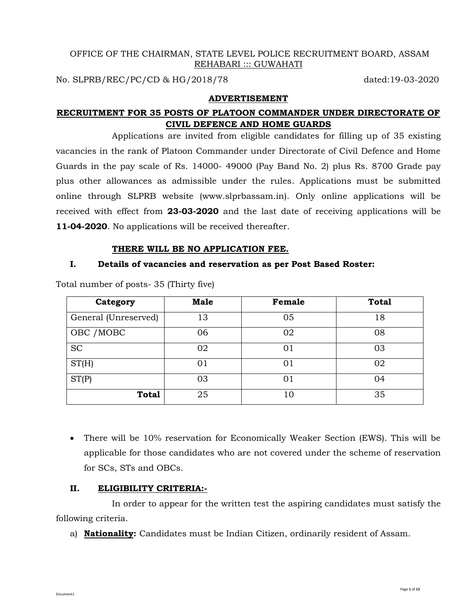## OFFICE OF THE CHAIRMAN, STATE LEVEL POLICE RECRUITMENT BOARD, ASSAM REHABARI ::: GUWAHATI

No. SLPRB/REC/PC/CD & HG/2018/78 dated:19-03-2020

## **ADVERTISEMENT**

# **RECRUITMENT FOR 35 POSTS OF PLATOON COMMANDER UNDER DIRECTORATE OF CIVIL DEFENCE AND HOME GUARDS**

Applications are invited from eligible candidates for filling up of 35 existing vacancies in the rank of Platoon Commander under Directorate of Civil Defence and Home Guards in the pay scale of Rs. 14000- 49000 (Pay Band No. 2) plus Rs. 8700 Grade pay plus other allowances as admissible under the rules. Applications must be submitted online through SLPRB website (www.slprbassam.in). Only online applications will be received with effect from **23-03-2020** and the last date of receiving applications will be **11-04-2020**. No applications will be received thereafter.

#### **THERE WILL BE NO APPLICATION FEE.**

## **I. Details of vacancies and reservation as per Post Based Roster:**

| Category             | <b>Male</b> | Female | <b>Total</b> |
|----------------------|-------------|--------|--------------|
| General (Unreserved) | 13          | 05     | 18           |
| OBC / MOBC           | 06          | 02     | 08           |
| <b>SC</b>            | 02          | 01     | 03           |
| ST(H)                | 01          | 01     | 02           |
| ST(P)                | 03          | 01     | 04           |
| <b>Total</b>         | 25          | 10     | 35           |

Total number of posts- 35 (Thirty five)

• There will be 10% reservation for Economically Weaker Section (EWS). This will be applicable for those candidates who are not covered under the scheme of reservation for SCs, STs and OBCs.

## **II. ELIGIBILITY CRITERIA:-**

Document1

In order to appear for the written test the aspiring candidates must satisfy the following criteria.

a) **Nationality:** Candidates must be Indian Citizen, ordinarily resident of Assam.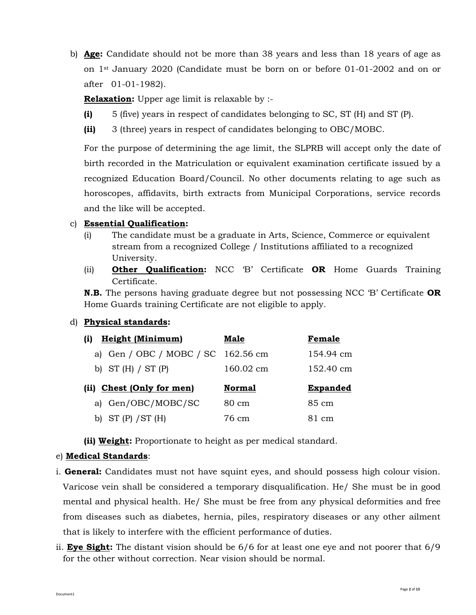b) **Age:** Candidate should not be more than 38 years and less than 18 years of age as on 1st January 2020 (Candidate must be born on or before 01-01-2002 and on or after 01-01-1982).

**Relaxation:** Upper age limit is relaxable by :-

- **(i)** 5 (five) years in respect of candidates belonging to SC, ST (H) and ST (P).
- **(ii)** 3 (three) years in respect of candidates belonging to OBC/MOBC.

For the purpose of determining the age limit, the SLPRB will accept only the date of birth recorded in the Matriculation or equivalent examination certificate issued by a recognized Education Board/Council. No other documents relating to age such as horoscopes, affidavits, birth extracts from Municipal Corporations, service records and the like will be accepted.

## c) **Essential Qualification:**

- (i) The candidate must be a graduate in Arts, Science, Commerce or equivalent stream from a recognized College / Institutions affiliated to a recognized University.
- (ii) **Other Qualification:** NCC 'B' Certificate **OR** Home Guards Training Certificate.

**N.B.** The persons having graduate degree but not possessing NCC 'B' Certificate **OR** Home Guards training Certificate are not eligible to apply.

## d) **Physical standards:**

| <b>Height (Minimum)</b><br>(i)     | Male            | Female              |
|------------------------------------|-----------------|---------------------|
| a) Gen / OBC / MOBC / SC 162.56 cm |                 | 154.94 cm           |
| b) ST $(H)$ / ST $(P)$             | 160.02 cm       | $152.40 \text{ cm}$ |
|                                    |                 |                     |
| (ii) Chest (Only for men)          | <b>Normal</b>   | <b>Expanded</b>     |
| a) Gen/OBC/MOBC/SC                 | $80 \text{ cm}$ | 85 cm               |

**(ii) Weight:** Proportionate to height as per medical standard.

#### e) **Medical Standards**:

- i. **General:** Candidates must not have squint eyes, and should possess high colour vision. Varicose vein shall be considered a temporary disqualification. He/ She must be in good mental and physical health. He/ She must be free from any physical deformities and free from diseases such as diabetes, hernia, piles, respiratory diseases or any other ailment that is likely to interfere with the efficient performance of duties.
- ii. **Eye Sight:** The distant vision should be 6/6 for at least one eye and not poorer that 6/9 for the other without correction. Near vision should be normal.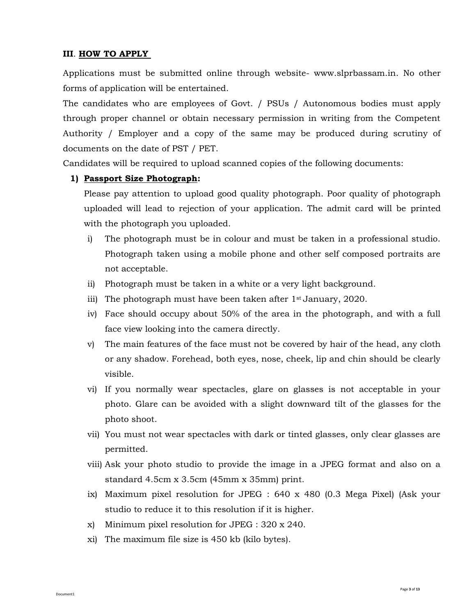## **III**. **HOW TO APPLY**

Applications must be submitted online through website- www.slprbassam.in. No other forms of application will be entertained.

The candidates who are employees of Govt. / PSUs / Autonomous bodies must apply through proper channel or obtain necessary permission in writing from the Competent Authority / Employer and a copy of the same may be produced during scrutiny of documents on the date of PST / PET.

Candidates will be required to upload scanned copies of the following documents:

## **1) Passport Size Photograph:**

Please pay attention to upload good quality photograph. Poor quality of photograph uploaded will lead to rejection of your application. The admit card will be printed with the photograph you uploaded.

- i) The photograph must be in colour and must be taken in a professional studio. Photograph taken using a mobile phone and other self composed portraits are not acceptable.
- ii) Photograph must be taken in a white or a very light background.
- iii) The photograph must have been taken after 1<sup>st</sup> January, 2020.
- iv) Face should occupy about 50% of the area in the photograph, and with a full face view looking into the camera directly.
- v) The main features of the face must not be covered by hair of the head, any cloth or any shadow. Forehead, both eyes, nose, cheek, lip and chin should be clearly visible.
- vi) If you normally wear spectacles, glare on glasses is not acceptable in your photo. Glare can be avoided with a slight downward tilt of the glasses for the photo shoot.
- vii) You must not wear spectacles with dark or tinted glasses, only clear glasses are permitted.
- viii) Ask your photo studio to provide the image in a JPEG format and also on a standard 4.5cm x 3.5cm (45mm x 35mm) print.
- ix) Maximum pixel resolution for JPEG : 640 x 480 (0.3 Mega Pixel) (Ask your studio to reduce it to this resolution if it is higher.
- x) Minimum pixel resolution for JPEG : 320 x 240.
- xi) The maximum file size is 450 kb (kilo bytes).

Document1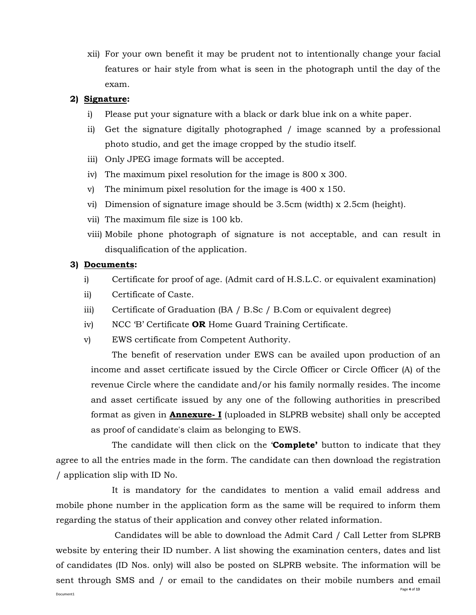xii) For your own benefit it may be prudent not to intentionally change your facial features or hair style from what is seen in the photograph until the day of the exam.

### **2) Signature:**

- i) Please put your signature with a black or dark blue ink on a white paper.
- ii) Get the signature digitally photographed / image scanned by a professional photo studio, and get the image cropped by the studio itself.
- iii) Only JPEG image formats will be accepted.
- iv) The maximum pixel resolution for the image is 800 x 300.
- v) The minimum pixel resolution for the image is 400 x 150.
- vi) Dimension of signature image should be 3.5cm (width) x 2.5cm (height).
- vii) The maximum file size is 100 kb.
- viii) Mobile phone photograph of signature is not acceptable, and can result in disqualification of the application.

## **3) Documents:**

- i) Certificate for proof of age. (Admit card of H.S.L.C. or equivalent examination)
- ii) Certificate of Caste.
- iii) Certificate of Graduation (BA / B.Sc / B.Com or equivalent degree)
- iv) NCC 'B' Certificate **OR** Home Guard Training Certificate.
- v) EWS certificate from Competent Authority.

The benefit of reservation under EWS can be availed upon production of an income and asset certificate issued by the Circle Officer or Circle Officer (A) of the revenue Circle where the candidate and/or his family normally resides. The income and asset certificate issued by any one of the following authorities in prescribed format as given in **Annexure- I** (uploaded in SLPRB website) shall only be accepted as proof of candidate's claim as belonging to EWS.

The candidate will then click on the '**Complete'** button to indicate that they agree to all the entries made in the form. The candidate can then download the registration / application slip with ID No.

It is mandatory for the candidates to mention a valid email address and mobile phone number in the application form as the same will be required to inform them regarding the status of their application and convey other related information.

Page **4** of **13** Document1 Candidates will be able to download the Admit Card / Call Letter from SLPRB website by entering their ID number. A list showing the examination centers, dates and list of candidates (ID Nos. only) will also be posted on SLPRB website. The information will be sent through SMS and / or email to the candidates on their mobile numbers and email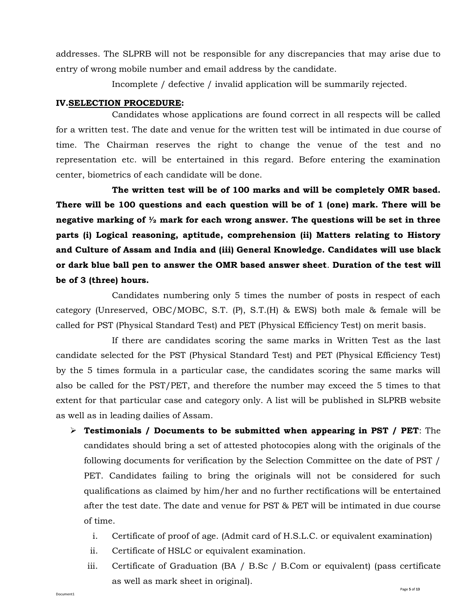addresses. The SLPRB will not be responsible for any discrepancies that may arise due to entry of wrong mobile number and email address by the candidate.

Incomplete / defective / invalid application will be summarily rejected.

## **IV.SELECTION PROCEDURE:**

Candidates whose applications are found correct in all respects will be called for a written test. The date and venue for the written test will be intimated in due course of time. The Chairman reserves the right to change the venue of the test and no representation etc. will be entertained in this regard. Before entering the examination center, biometrics of each candidate will be done.

**The written test will be of 100 marks and will be completely OMR based. There will be 100 questions and each question will be of 1 (one) mark. There will be negative marking of ½ mark for each wrong answer. The questions will be set in three parts (i) Logical reasoning, aptitude, comprehension (ii) Matters relating to History and Culture of Assam and India and (iii) General Knowledge. Candidates will use black or dark blue ball pen to answer the OMR based answer sheet**. **Duration of the test will be of 3 (three) hours.**

Candidates numbering only 5 times the number of posts in respect of each category (Unreserved, OBC/MOBC, S.T. (P), S.T.(H) & EWS) both male & female will be called for PST (Physical Standard Test) and PET (Physical Efficiency Test) on merit basis.

If there are candidates scoring the same marks in Written Test as the last candidate selected for the PST (Physical Standard Test) and PET (Physical Efficiency Test) by the 5 times formula in a particular case, the candidates scoring the same marks will also be called for the PST/PET, and therefore the number may exceed the 5 times to that extent for that particular case and category only. A list will be published in SLPRB website as well as in leading dailies of Assam.

- ➢ **Testimonials / Documents to be submitted when appearing in PST / PET**: The candidates should bring a set of attested photocopies along with the originals of the following documents for verification by the Selection Committee on the date of PST / PET. Candidates failing to bring the originals will not be considered for such qualifications as claimed by him/her and no further rectifications will be entertained after the test date. The date and venue for PST & PET will be intimated in due course of time.
	- i. Certificate of proof of age. (Admit card of H.S.L.C. or equivalent examination)
	- ii. Certificate of HSLC or equivalent examination.
	- iii. Certificate of Graduation (BA / B.Sc / B.Com or equivalent) (pass certificate as well as mark sheet in original).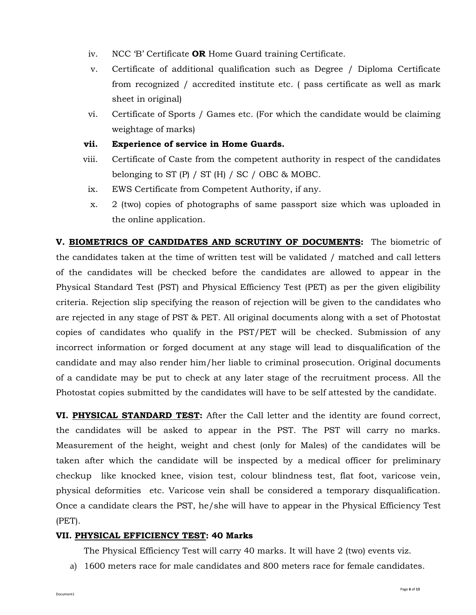- iv. NCC 'B' Certificate **OR** Home Guard training Certificate.
- v. Certificate of additional qualification such as Degree / Diploma Certificate from recognized / accredited institute etc. ( pass certificate as well as mark sheet in original)
- vi. Certificate of Sports / Games etc. (For which the candidate would be claiming weightage of marks)
- **vii. Experience of service in Home Guards.**
- viii. Certificate of Caste from the competent authority in respect of the candidates belonging to ST  $(P)$  / ST  $(H)$  / SC / OBC & MOBC.
- ix. EWS Certificate from Competent Authority, if any.
- x. 2 (two) copies of photographs of same passport size which was uploaded in the online application.

**V. BIOMETRICS OF CANDIDATES AND SCRUTINY OF DOCUMENTS:** The biometric of the candidates taken at the time of written test will be validated / matched and call letters of the candidates will be checked before the candidates are allowed to appear in the Physical Standard Test (PST) and Physical Efficiency Test (PET) as per the given eligibility criteria. Rejection slip specifying the reason of rejection will be given to the candidates who are rejected in any stage of PST & PET. All original documents along with a set of Photostat copies of candidates who qualify in the PST/PET will be checked. Submission of any incorrect information or forged document at any stage will lead to disqualification of the candidate and may also render him/her liable to criminal prosecution. Original documents of a candidate may be put to check at any later stage of the recruitment process. All the Photostat copies submitted by the candidates will have to be self attested by the candidate.

**VI. PHYSICAL STANDARD TEST:** After the Call letter and the identity are found correct, the candidates will be asked to appear in the PST. The PST will carry no marks. Measurement of the height, weight and chest (only for Males) of the candidates will be taken after which the candidate will be inspected by a medical officer for preliminary checkup like knocked knee, vision test, colour blindness test, flat foot, varicose vein, physical deformities etc. Varicose vein shall be considered a temporary disqualification. Once a candidate clears the PST, he/she will have to appear in the Physical Efficiency Test (PET).

## **VII. PHYSICAL EFFICIENCY TEST: 40 Marks**

The Physical Efficiency Test will carry 40 marks. It will have 2 (two) events viz.

a) 1600 meters race for male candidates and 800 meters race for female candidates.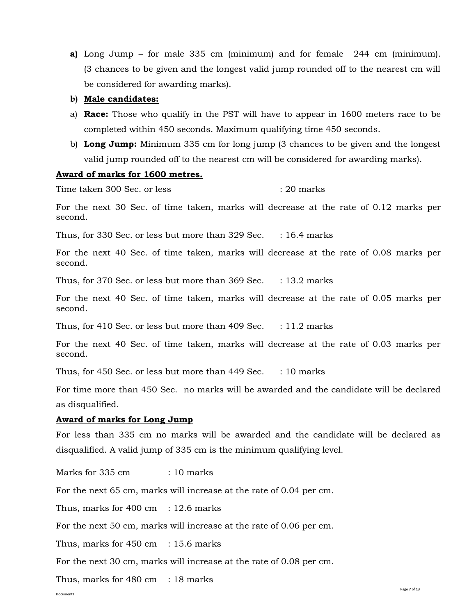**a)** Long Jump – for male 335 cm (minimum) and for female 244 cm (minimum). (3 chances to be given and the longest valid jump rounded off to the nearest cm will be considered for awarding marks).

#### **b) Male candidates:**

- a) **Race:** Those who qualify in the PST will have to appear in 1600 meters race to be completed within 450 seconds. Maximum qualifying time 450 seconds.
- b) **Long Jump:** Minimum 335 cm for long jump (3 chances to be given and the longest valid jump rounded off to the nearest cm will be considered for awarding marks).

#### **Award of marks for 1600 metres.**

Time taken 300 Sec. or less : 20 marks

For the next 30 Sec. of time taken, marks will decrease at the rate of 0.12 marks per second.

Thus, for 330 Sec. or less but more than  $329$  Sec. : 16.4 marks

For the next 40 Sec. of time taken, marks will decrease at the rate of 0.08 marks per second.

Thus, for 370 Sec. or less but more than  $369$  Sec. : 13.2 marks

For the next 40 Sec. of time taken, marks will decrease at the rate of 0.05 marks per second.

Thus, for 410 Sec. or less but more than 409 Sec.  $\therefore$  11.2 marks

For the next 40 Sec. of time taken, marks will decrease at the rate of 0.03 marks per second.

Thus, for 450 Sec. or less but more than  $449$  Sec.  $\therefore$  10 marks

For time more than 450 Sec. no marks will be awarded and the candidate will be declared as disqualified.

### **Award of marks for Long Jump**

For less than 335 cm no marks will be awarded and the candidate will be declared as disqualified. A valid jump of 335 cm is the minimum qualifying level.

Marks for 335 cm : 10 marks

For the next 65 cm, marks will increase at the rate of 0.04 per cm.

Thus, marks for  $400 \text{ cm}$  : 12.6 marks

For the next 50 cm, marks will increase at the rate of 0.06 per cm.

Thus, marks for  $450 \text{ cm}$  : 15.6 marks

For the next 30 cm, marks will increase at the rate of 0.08 per cm.

Thus, marks for 480 cm : 18 marks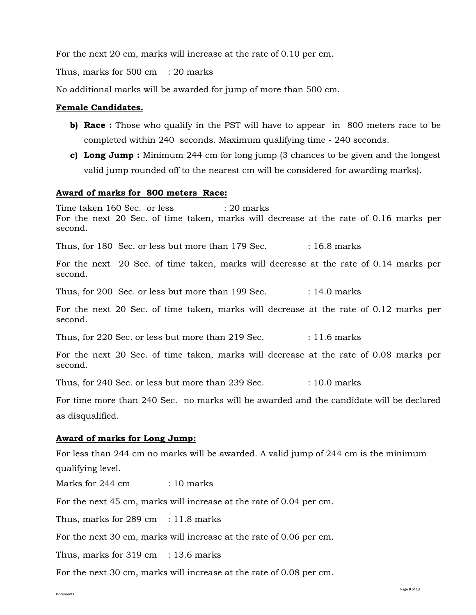For the next 20 cm, marks will increase at the rate of 0.10 per cm.

Thus, marks for 500 cm : 20 marks

No additional marks will be awarded for jump of more than 500 cm.

## **Female Candidates.**

- **b) Race :** Those who qualify in the PST will have to appear in 800 meters race to be completed within 240 seconds. Maximum qualifying time - 240 seconds.
- **c) Long Jump :** Minimum 244 cm for long jump (3 chances to be given and the longest valid jump rounded off to the nearest cm will be considered for awarding marks).

#### **Award of marks for 800 meters Race:**

Time taken 160 Sec. or less : 20 marks For the next 20 Sec. of time taken, marks will decrease at the rate of 0.16 marks per second.

Thus, for 180 Sec. or less but more than 179 Sec. : 16.8 marks

For the next 20 Sec. of time taken, marks will decrease at the rate of 0.14 marks per second.

Thus, for 200 Sec. or less but more than  $199$  Sec.  $\qquad$  : 14.0 marks

For the next 20 Sec. of time taken, marks will decrease at the rate of 0.12 marks per second.

Thus, for 220 Sec. or less but more than 219 Sec. : 11.6 marks

For the next 20 Sec. of time taken, marks will decrease at the rate of 0.08 marks per second.

Thus, for 240 Sec. or less but more than 239 Sec. : 10.0 marks

For time more than 240 Sec. no marks will be awarded and the candidate will be declared as disqualified.

#### **Award of marks for Long Jump:**

For less than 244 cm no marks will be awarded. A valid jump of 244 cm is the minimum qualifying level.

Marks for 244 cm : 10 marks

For the next 45 cm, marks will increase at the rate of 0.04 per cm.

Thus, marks for 289 cm : 11.8 marks

For the next 30 cm, marks will increase at the rate of 0.06 per cm.

Thus, marks for  $319 \text{ cm}$  :  $13.6 \text{ marks}$ 

For the next 30 cm, marks will increase at the rate of 0.08 per cm.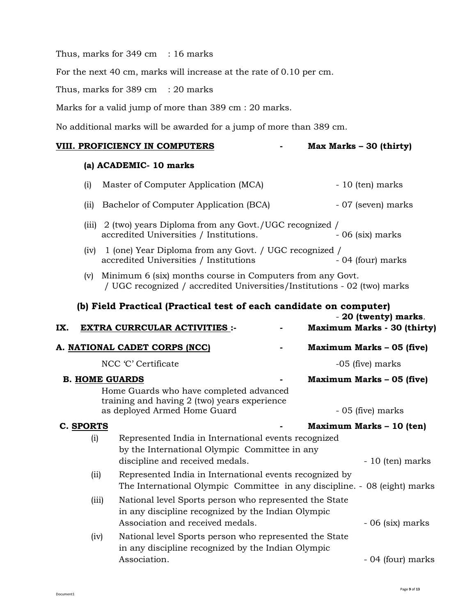Thus, marks for 349 cm : 16 marks

For the next 40 cm, marks will increase at the rate of 0.10 per cm.

Thus, marks for  $389 \text{ cm}$  : 20 marks

Marks for a valid jump of more than 389 cm : 20 marks.

No additional marks will be awarded for a jump of more than 389 cm.

#### **VIII. PROFICIENCY IN COMPUTERS - Max Marks – 30 (thirty)**

## **(a) ACADEMIC- 10 marks**

Document1

| (i) | Master of Computer Application (MCA)                                                                     | - 10 (ten) marks   |
|-----|----------------------------------------------------------------------------------------------------------|--------------------|
|     | (ii) Bachelor of Computer Application (BCA)                                                              | - 07 (seven) marks |
|     | (iii) $2$ (two) years Diploma from any Govt./UGC recognized /<br>accredited Universities / Institutions. | $-06$ (six) marks  |
|     | $(iv)$ 1 (one) Year Diploma from any Govt. / UGC recognized /                                            |                    |

- accredited Universities / Institutions 04 (four) marks (v) Minimum 6 (six) months course in Computers from any Govt.
	- / UGC recognized / accredited Universities/Institutions 02 (two) marks

## **(b) Field Practical (Practical test of each candidate on computer)**

| IX. |                       | <b>EXTRA CURRCULAR ACTIVITIES :-</b>                                                                                                             | - 20 (twenty) marks.<br><b>Maximum Marks - 30 (thirty)</b> |
|-----|-----------------------|--------------------------------------------------------------------------------------------------------------------------------------------------|------------------------------------------------------------|
|     |                       | A. NATIONAL CADET CORPS (NCC)                                                                                                                    | Maximum Marks – 05 (five)                                  |
|     |                       | NCC 'C' Certificate                                                                                                                              | -05 (five) marks                                           |
|     | <b>B. HOME GUARDS</b> | Home Guards who have completed advanced<br>training and having 2 (two) years experience<br>as deployed Armed Home Guard                          | Maximum Marks – 05 (five)<br>- 05 (five) marks             |
|     | C. SPORTS             |                                                                                                                                                  | Maximum Marks – 10 (ten)                                   |
|     | (i)                   | Represented India in International events recognized<br>by the International Olympic Committee in any<br>discipline and received medals.         | - 10 (ten) marks                                           |
|     | (iii)                 | Represented India in International events recognized by<br>The International Olympic Committee in any discipline. - 08 (eight) marks             |                                                            |
|     | (iii)                 | National level Sports person who represented the State<br>in any discipline recognized by the Indian Olympic<br>Association and received medals. | $-06$ (six) marks                                          |
|     | (iv)                  | National level Sports person who represented the State<br>in any discipline recognized by the Indian Olympic<br>Association.                     | - 04 (four) marks                                          |
|     |                       |                                                                                                                                                  |                                                            |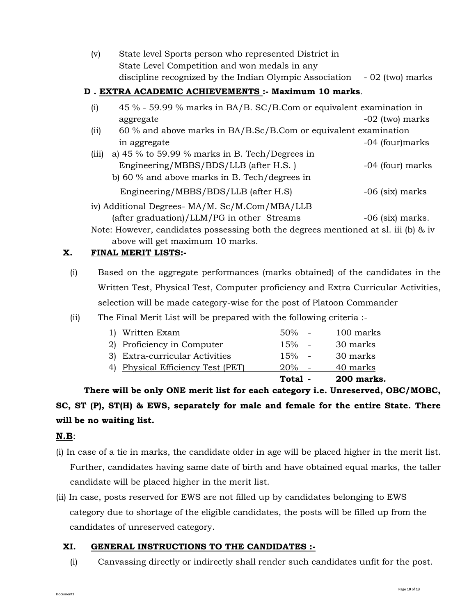| (v) | State level Sports person who represented District in                         |  |
|-----|-------------------------------------------------------------------------------|--|
|     | State Level Competition and won medals in any                                 |  |
|     | discipline recognized by the Indian Olympic Association $\sim 02$ (two) marks |  |

## **D . EXTRA ACADEMIC ACHIEVEMENTS :- Maximum 10 marks**.

| (i)   | 45 % - 59.99 % marks in BA/B. SC/B.Com or equivalent examination in                    |                    |  |
|-------|----------------------------------------------------------------------------------------|--------------------|--|
|       | aggregate                                                                              | -02 (two) marks    |  |
| (ii)  | 60 % and above marks in BA/B.Sc/B.Com or equivalent examination                        |                    |  |
|       | in aggregate                                                                           | -04 (four)marks    |  |
| (iii) | a) 45 $\%$ to 59.99 $\%$ marks in B. Tech/Degrees in                                   |                    |  |
|       | Engineering/MBBS/BDS/LLB (after H.S.)                                                  | -04 (four) marks   |  |
|       | b) 60 $\%$ and above marks in B. Tech/degrees in                                       |                    |  |
|       | Engineering/MBBS/BDS/LLB (after H.S)                                                   | $-06$ (six) marks  |  |
|       | iv) Additional Degrees- MA/M. Sc/M.Com/MBA/LLB                                         |                    |  |
|       | (after graduation)/LLM/PG in other Streams                                             | $-06$ (six) marks. |  |
|       | Note: However, candidates possessing both the degrees mentioned at sl. iii (b) $\&$ iv |                    |  |

above will get maximum 10 marks.

## **X. FINAL MERIT LISTS:-**

- (i) Based on the aggregate performances (marks obtained) of the candidates in the Written Test, Physical Test, Computer proficiency and Extra Curricular Activities, selection will be made category-wise for the post of Platoon Commander
- (ii) The Final Merit List will be prepared with the following criteria :-

|                                   | Total -  | 200 marks. |
|-----------------------------------|----------|------------|
| 4) Physical Efficiency Test (PET) | 20%      | 40 marks   |
| 3) Extra-curricular Activities    | $15\%$ - | 30 marks   |
| 2) Proficiency in Computer        | $15\%$ - | 30 marks   |
| 1) Written Exam                   | $50\%$ - | 100 marks  |

**There will be only ONE merit list for each category i.e. Unreserved, OBC/MOBC, SC, ST (P), ST(H) & EWS, separately for male and female for the entire State. There will be no waiting list.**

# **N.B**:

- (i) In case of a tie in marks, the candidate older in age will be placed higher in the merit list. Further, candidates having same date of birth and have obtained equal marks, the taller candidate will be placed higher in the merit list.
- (ii) In case, posts reserved for EWS are not filled up by candidates belonging to EWS category due to shortage of the eligible candidates, the posts will be filled up from the candidates of unreserved category.

# **XI. GENERAL INSTRUCTIONS TO THE CANDIDATES :-**

(i) Canvassing directly or indirectly shall render such candidates unfit for the post.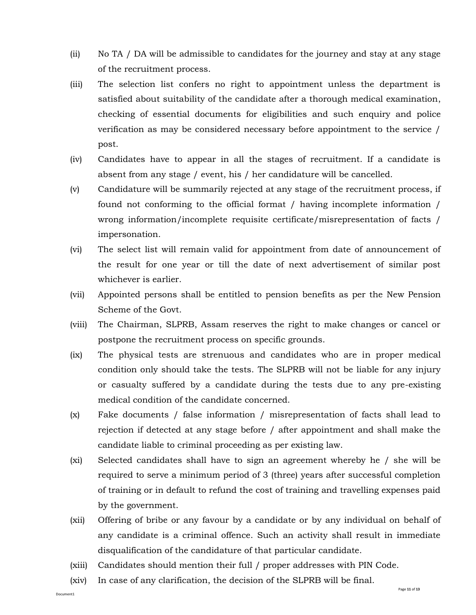- (ii) No TA / DA will be admissible to candidates for the journey and stay at any stage of the recruitment process.
- (iii) The selection list confers no right to appointment unless the department is satisfied about suitability of the candidate after a thorough medical examination, checking of essential documents for eligibilities and such enquiry and police verification as may be considered necessary before appointment to the service / post.
- (iv) Candidates have to appear in all the stages of recruitment. If a candidate is absent from any stage / event, his / her candidature will be cancelled.
- (v) Candidature will be summarily rejected at any stage of the recruitment process, if found not conforming to the official format / having incomplete information / wrong information/incomplete requisite certificate/misrepresentation of facts / impersonation.
- (vi) The select list will remain valid for appointment from date of announcement of the result for one year or till the date of next advertisement of similar post whichever is earlier.
- (vii) Appointed persons shall be entitled to pension benefits as per the New Pension Scheme of the Govt.
- (viii) The Chairman, SLPRB, Assam reserves the right to make changes or cancel or postpone the recruitment process on specific grounds.
- (ix) The physical tests are strenuous and candidates who are in proper medical condition only should take the tests. The SLPRB will not be liable for any injury or casualty suffered by a candidate during the tests due to any pre-existing medical condition of the candidate concerned.
- (x) Fake documents / false information / misrepresentation of facts shall lead to rejection if detected at any stage before / after appointment and shall make the candidate liable to criminal proceeding as per existing law.
- (xi) Selected candidates shall have to sign an agreement whereby he / she will be required to serve a minimum period of 3 (three) years after successful completion of training or in default to refund the cost of training and travelling expenses paid by the government.
- (xii) Offering of bribe or any favour by a candidate or by any individual on behalf of any candidate is a criminal offence. Such an activity shall result in immediate disqualification of the candidature of that particular candidate.
- (xiii) Candidates should mention their full / proper addresses with PIN Code.
- (xiv) In case of any clarification, the decision of the SLPRB will be final.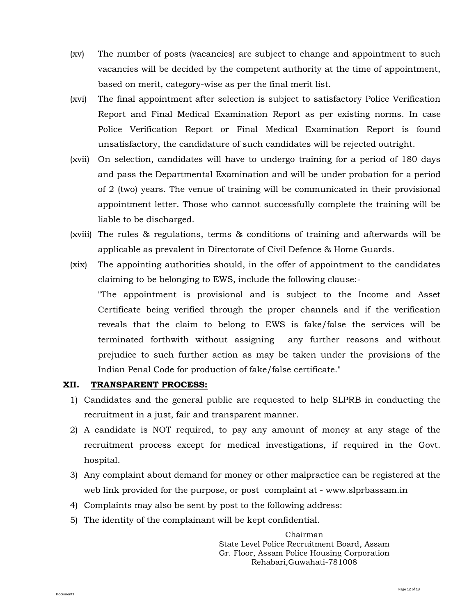- (xv) The number of posts (vacancies) are subject to change and appointment to such vacancies will be decided by the competent authority at the time of appointment, based on merit, category-wise as per the final merit list.
- (xvi) The final appointment after selection is subject to satisfactory Police Verification Report and Final Medical Examination Report as per existing norms. In case Police Verification Report or Final Medical Examination Report is found unsatisfactory, the candidature of such candidates will be rejected outright.
- (xvii) On selection, candidates will have to undergo training for a period of 180 days and pass the Departmental Examination and will be under probation for a period of 2 (two) years. The venue of training will be communicated in their provisional appointment letter. Those who cannot successfully complete the training will be liable to be discharged.
- (xviii) The rules & regulations, terms & conditions of training and afterwards will be applicable as prevalent in Directorate of Civil Defence & Home Guards.
- (xix) The appointing authorities should, in the offer of appointment to the candidates claiming to be belonging to EWS, include the following clause:- "The appointment is provisional and is subject to the Income and Asset Certificate being verified through the proper channels and if the verification reveals that the claim to belong to EWS is fake/false the services will be terminated forthwith without assigning any further reasons and without prejudice to such further action as may be taken under the provisions of the Indian Penal Code for production of fake/false certificate."

## **XII. TRANSPARENT PROCESS:**

- 1) Candidates and the general public are requested to help SLPRB in conducting the recruitment in a just, fair and transparent manner.
- 2) A candidate is NOT required, to pay any amount of money at any stage of the recruitment process except for medical investigations, if required in the Govt. hospital.
- 3) Any complaint about demand for money or other malpractice can be registered at the web link provided for the purpose, or post complaint at - www.slprbassam.in
- 4) Complaints may also be sent by post to the following address:
- 5) The identity of the complainant will be kept confidential.

Chairman State Level Police Recruitment Board, Assam Gr. Floor, Assam Police Housing Corporation Rehabari,Guwahati-781008